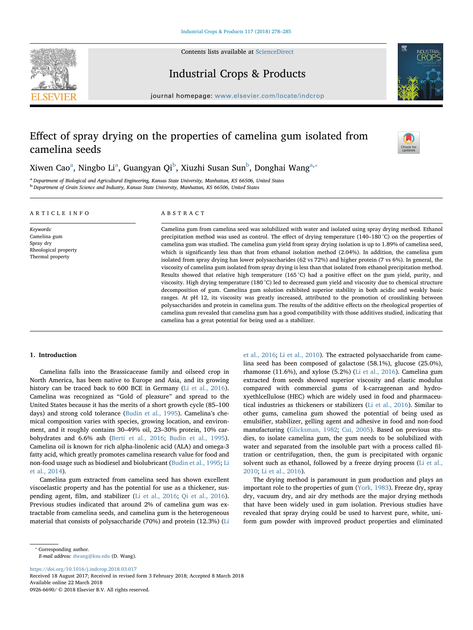Contents lists available at [ScienceDirect](http://www.sciencedirect.com/science/journal/09266690)





# Industrial Crops & Products

journal homepage: [www.elsevier.com/locate/indcrop](https://www.elsevier.com/locate/indcrop)

# Effect of spray drying on the properties of camelina gum isolated from camelina seeds



# Xiwen C[a](#page-0-0)o $^{\rm a}$ , Ning[b](#page-0-1)o Li $^{\rm a}$ , Guangyan Qi $^{\rm b}$ , Xiuzhi Susan Sun $^{\rm b}$ , Donghai Wang $^{\rm a,*}$

<span id="page-0-1"></span><span id="page-0-0"></span><sup>a</sup> Department of Biological and Agricultural Engineering, Kansas State University, Manhattan, KS 66506, United States <sup>b</sup> Department of Grain Science and Industry, Kansas State University, Manhattan, KS 66506, United States

## ARTICLE INFO

Keywords: Camelina gum Spray dry Rheological property Thermal property

## ABSTRACT

Camelina gum from camelina seed was solubilized with water and isolated using spray drying method. Ethanol precipitation method was used as control. The effect of drying temperature (140–180 °C) on the properties of camelina gum was studied. The camelina gum yield from spray drying isolation is up to 1.89% of camelina seed, which is significantly less than that from ethanol isolation method (2.04%). In addition, the camelina gum isolated from spray drying has lower polysaccharides (62 vs 72%) and higher protein (7 vs 6%). In general, the viscosity of camelina gum isolated from spray drying is less than that isolated from ethanol precipitation method. Results showed that relative high temperature (165 °C) had a positive effect on the gum yield, purity, and viscosity. High drying temperature (180 °C) led to decreased gum yield and viscosity due to chemical structure decomposition of gum. Camelina gum solution exhibited superior stability in both acidic and weakly basic ranges. At pH 12, its viscosity was greatly increased, attributed to the promotion of crosslinking between polysaccharides and protein in camelina gum. The results of the additive effects on the rheological properties of camelina gum revealed that camelina gum has a good compatibility with those additives studied, indicating that camelina has a great potential for being used as a stabilizer.

# 1. Introduction

Camelina falls into the Brassicacease family and oilseed crop in North America, has been native to Europe and Asia, and its growing history can be traced back to 600 BCE in Germany [\(Li et al., 2016](#page--1-0)). Camelina was recognized as "Gold of pleasure" and spread to the United States because it has the merits of a short growth cycle (85–100 days) and strong cold tolerance [\(Budin et al., 1995](#page--1-1)). Camelina's chemical composition varies with species, growing location, and environment, and it roughly contains 30–49% oil, 23–30% protein, 10% carbohydrates and 6.6% ash ([Berti et al., 2016;](#page--1-2) [Budin et al., 1995](#page--1-1)). Camelina oil is known for rich alpha-linolenic acid (ALA) and omega-3 fatty acid, which greatly promotes camelina research value for food and non-food usage such as biodiesel and biolubricant [\(Budin et al., 1995;](#page--1-1) [Li](#page--1-3) [et al., 2014](#page--1-3)).

Camelina gum extracted from camelina seed has shown excellent viscoelastic property and has the potential for use as a thickener, suspending agent, film, and stabilizer [\(Li et al., 2016](#page--1-0); [Qi et al., 2016](#page--1-4)). Previous studies indicated that around 2% of camelina gum was extractable from camelina seeds, and camelina gum is the heterogeneous material that consists of polysaccharide (70%) and protein (12.3%) [\(Li](#page--1-0)

[et al., 2016](#page--1-0); [Li et al., 2010\)](#page--1-5). The extracted polysaccharide from camelina seed has been composed of galactose (58.1%), glucose (25.0%), rhamonse (11.6%), and xylose (5.2%) ([Li et al., 2016](#page--1-0)). Camelina gum extracted from seeds showed superior viscosity and elastic modulus compared with commercial gums of k-carrageenan and hydroxyethlcellulose (HEC) which are widely used in food and pharmaceutical industries as thickeners or stabilizers [\(Li et al., 2016](#page--1-0)). Similar to other gums, camelina gum showed the potential of being used as emulsifier, stabilizer, gelling agent and adhesive in food and non-food manufacturing ([Glicksman, 1982](#page--1-6); [Cui, 2005](#page--1-7)). Based on previous studies, to isolate camelina gum, the gum needs to be solubilized with water and separated from the insoluble part with a process called filtration or centrifugation, then, the gum is precipitated with organic solvent such as ethanol, followed by a freeze drying process ([Li et al.,](#page--1-5) [2010;](#page--1-5) [Li et al., 2016\)](#page--1-0).

The drying method is paramount in gum production and plays an important role to the properties of gum ([York, 1983\)](#page--1-8). Freeze dry, spray dry, vacuum dry, and air dry methods are the major drying methods that have been widely used in gum isolation. Previous studies have revealed that spray drying could be used to harvest pure, white, uniform gum powder with improved product properties and eliminated

<https://doi.org/10.1016/j.indcrop.2018.03.017>

<span id="page-0-2"></span><sup>⁎</sup> Corresponding author.

E-mail address: [dwang@ksu.edu](mailto:dwang@ksu.edu) (D. Wang).

Received 18 August 2017; Received in revised form 3 February 2018; Accepted 8 March 2018 Available online 22 March 2018 0926-6690/ © 2018 Elsevier B.V. All rights reserved.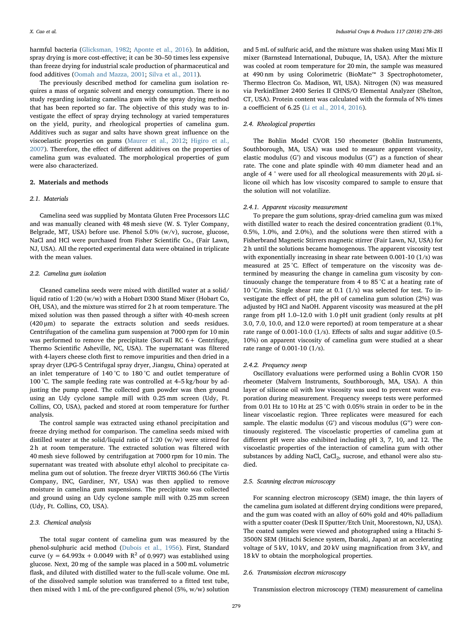harmful bacteria [\(Glicksman, 1982](#page--1-6); [Aponte et al., 2016\)](#page--1-9). In addition, spray drying is more cost-effective; it can be 30–50 times less expensive than freeze drying for industrial scale production of pharmaceutical and food additives ([Oomah and Mazza, 2001;](#page--1-10) [Silva et al., 2011](#page--1-11)).

The previously described method for camelina gum isolation requires a mass of organic solvent and energy consumption. There is no study regarding isolating camelina gum with the spray drying method that has been reported so far. The objective of this study was to investigate the effect of spray drying technology at varied temperatures on the yield, purity, and rheological properties of camelina gum. Additives such as sugar and salts have shown great influence on the viscoelastic properties on gums [\(Maurer et al., 2012](#page--1-12); [Higiro et al.,](#page--1-13) [2007\)](#page--1-13). Therefore, the effect of different additives on the properties of camelina gum was evaluated. The morphological properties of gum were also characterized.

# 2. Materials and methods

#### 2.1. Materials

Camelina seed was supplied by Montata Gluten Free Processors LLC and was manually cleaned with 48 mesh sieve (W. S. Tyler Company, Belgrade, MT, USA) before use. Phenol 5.0% (w/v), sucrose, glucose, NaCl and HCl were purchased from Fisher Scientific Co., (Fair Lawn, NJ, USA). All the reported experimental data were obtained in triplicate with the mean values.

#### 2.2. Camelina gum isolation

Cleaned camelina seeds were mixed with distilled water at a solid/ liquid ratio of 1:20 (w/w) with a Hobart D300 Stand Mixer (Hobart Co, OH, USA), and the mixture was stirred for 2 h at room temperature. The mixed solution was then passed through a sifter with 40-mesh screen (420 μm) to separate the extracts solution and seeds residues. Centrifugation of the camelina gum suspension at 7000 rpm for 10 min was performed to remove the precipitate (Sorvall RC 6+ Centrifuge, Thermo Scientific Asheville, NC, USA). The supernatant was filtered with 4-layers cheese cloth first to remove impurities and then dried in a spray dryer (LPG-5 Centrifugal spray dryer, Jiangsu, China) operated at an inlet temperature of 140 °C to 180 °C and outlet temperature of 100 °C. The sample feeding rate was controlled at 4–5 kg/hour by adjusting the pump speed. The collected gum powder was then ground using an Udy cyclone sample mill with 0.25 mm screen (Udy, Ft. Collins, CO, USA), packed and stored at room temperature for further analysis.

The control sample was extracted using ethanol precipitation and freeze drying method for comparison. The camelina seeds mixed with distilled water at the solid/liquid ratio of 1:20 (w/w) were stirred for 2 h at room temperature. The extracted solution was filtered with 40 mesh sieve followed by centrifugation at 7000 rpm for 10 min. The supernatant was treated with absolute ethyl alcohol to precipitate camelina gum out of solution. The freeze dryer VIRTIS 360.66 (The Virtis Company, INC, Gardiner, NY, USA) was then applied to remove moisture in camelina gum suspensions. The precipitate was collected and ground using an Udy cyclone sample mill with 0.25 mm screen (Udy, Ft. Collins, CO, USA).

# 2.3. Chemical analysis

The total sugar content of camelina gum was measured by the phenol-sulphuric acid method ([Dubois et al., 1956\)](#page--1-14). First, Standard curve (y = 64.993x + 0.0049 with  $R^2$  of 0.997) was established using glucose. Next, 20 mg of the sample was placed in a 500 mL volumetric flask, and diluted with distilled water to the full-scale volume. One mL of the dissolved sample solution was transferred to a fitted test tube, then mixed with 1 mL of the pre-configured phenol (5%, w/w) solution and 5 mL of sulfuric acid, and the mixture was shaken using Maxi Mix II mixer (Barnstead International, Dubuque, IA, USA). After the mixture was cooled at room temperature for 20 min, the sample was measured at 490 nm by using Colorimetric (BioMate™ 3 Spectrophotometer, Thermo Electron Co. Madison, WI, USA). Nitrogen (N) was measured via PerkinElmer 2400 Series II CHNS/O Elemental Analyzer (Shelton, CT, USA). Protein content was calculated with the formula of N% times a coefficient of 6.25 ([Li et al., 2014, 2016\)](#page--1-3).

# 2.4. Rheological properties

The Bohlin Model CVOR 150 rheometer (Bohlin Instruments, Southborough, MA, USA) was used to measure apparent viscosity, elastic modulus (G') and viscous modulus (G") as a function of shear rate. The cone and plate spindle with 40 mm diameter head and an angle of 4 ° were used for all rheological measurements with 20 μL silicone oil which has low viscosity compared to sample to ensure that the solution will not volatilize.

#### 2.4.1. Apparent viscosity measurement

To prepare the gum solutions, spray-dried camelina gum was mixed with distilled water to reach the desired concentration gradient (0.1%, 0.5%, 1.0%, and 2.0%), and the solutions were then stirred with a Fisherbrand Magnetic Stirrers magnetic stirrer (Fair Lawn, NJ, USA) for 2 h until the solutions became homogenous. The apparent viscosity test with exponentially increasing in shear rate between 0.001-10 (1/s) was measured at 25 °C. Effect of temperature on the viscosity was determined by measuring the change in camelina gum viscosity by continuously change the temperature from 4 to 85 °C at a heating rate of 10 °C/min. Single shear rate at 0.1 (1/s) was selected for test. To investigate the effect of pH, the pH of camelina gum solution (2%) was adjusted by HCl and NaOH. Apparent viscosity was measured at the pH range from pH 1.0–12.0 with 1.0 pH unit gradient (only results at pH 3.0, 7.0, 10.0, and 12.0 were reported) at room temperature at a shear rate range of 0.001-10.0 (1/s). Effects of salts and sugar additive (0.5- 10%) on apparent viscosity of camelina gum were studied at a shear rate range of 0.001-10 (1/s).

## 2.4.2. Frequency sweep

Oscillatory evaluations were performed using a Bohlin CVOR 150 rheometer (Malvern Instruments, Southborough, MA, USA). A thin layer of silicone oil with low viscosity was used to prevent water evaporation during measurement. Frequency sweeps tests were performed from 0.01 Hz to 10 Hz at 25 °C with 0.05% strain in order to be in the linear viscoelastic region. Three replicates were measured for each sample. The elastic modulus (G') and viscous modulus (G") were continuously registered. The viscoelastic properties of camelina gum at different pH were also exhibited including pH 3, 7, 10, and 12. The viscoelastic properties of the interaction of camelina gum with other substances by adding NaCl, CaCl<sub>2</sub>, sucrose, and ethanol were also studied.

## 2.5. Scanning electron microscopy

For scanning electron microscopy (SEM) image, the thin layers of the camelina gum isolated at different drying conditions were prepared, and the gum was coated with an alloy of 60% gold and 40% palladium with a sputter coater (Desk II Sputter/Etch Unit, Moorestown, NJ, USA). The coated samples were viewed and photographed using a Hitachi S-3500N SEM (Hitachi Science system, Ibaraki, Japan) at an accelerating voltage of 5 kV, 10 kV, and 20 kV using magnification from 3 kV, and 18 kV to obtain the morphological properties.

#### 2.6. Transmission electron microscopy

Transmission electron microscopy (TEM) measurement of camelina